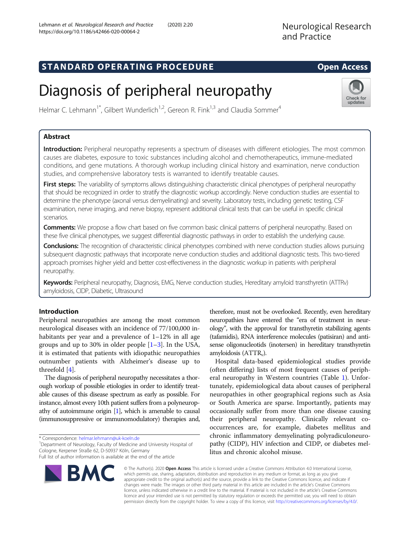## STANDARD OPERATING PROCEDURE EXAMPLE THE Open Access

# Diagnosis of peripheral neuropathy

Helmar C. Lehmann<sup>1\*</sup>, Gilbert Wunderlich<sup>1,2</sup>, Gereon R. Fink<sup>1,3</sup> and Claudia Sommer<sup>4</sup>

### Abstract

Introduction: Peripheral neuropathy represents a spectrum of diseases with different etiologies. The most common causes are diabetes, exposure to toxic substances including alcohol and chemotherapeutics, immune-mediated conditions, and gene mutations. A thorough workup including clinical history and examination, nerve conduction studies, and comprehensive laboratory tests is warranted to identify treatable causes.

First steps: The variability of symptoms allows distinguishing characteristic clinical phenotypes of peripheral neuropathy that should be recognized in order to stratify the diagnostic workup accordingly. Nerve conduction studies are essential to determine the phenotype (axonal versus demyelinating) and severity. Laboratory tests, including genetic testing, CSF examination, nerve imaging, and nerve biopsy, represent additional clinical tests that can be useful in specific clinical scenarios.

**Comments:** We propose a flow chart based on five common basic clinical patterns of peripheral neuropathy. Based on these five clinical phenotypes, we suggest differential diagnostic pathways in order to establish the underlying cause.

Conclusions: The recognition of characteristic clinical phenotypes combined with nerve conduction studies allows pursuing subsequent diagnostic pathways that incorporate nerve conduction studies and additional diagnostic tests. This two-tiered approach promises higher yield and better cost-effectiveness in the diagnostic workup in patients with peripheral neuropathy.

Keywords: Peripheral neuropathy, Diagnosis, EMG, Nerve conduction studies, Hereditary amyloid transthyretin (ATTRv) amyloidosis, CIDP, Diabetic, Ultrasound

### Introduction

Peripheral neuropathies are among the most common neurological diseases with an incidence of 77/100,000 inhabitants per year and a prevalence of  $1-12\%$  in all age groups and up to 30% in older people [[1](#page-6-0)–[3](#page-6-0)]. In the USA, it is estimated that patients with idiopathic neuropathies outnumber patients with Alzheimer's disease up to threefold [\[4](#page-6-0)].

The diagnosis of peripheral neuropathy necessitates a thorough workup of possible etiologies in order to identify treatable causes of this disease spectrum as early as possible. For instance, almost every 10th patient suffers from a polyneuropathy of autoimmune origin [\[1\]](#page-6-0), which is amenable to causal (immunosuppressive or immunomodulatory) therapies and,

\* Correspondence: [helmar.lehmann@uk-koeln.de](mailto:helmar.lehmann@uk-koeln.de) <sup>1</sup>

<sup>1</sup> Department of Neurology, Faculty of Medicine and University Hospital of Cologne, Kerpener Straße 62, D-50937 Köln, Germany

Full list of author information is available at the end of the article

therefore, must not be overlooked. Recently, even hereditary neuropathies have entered the "era of treatment in neurology", with the approval for transthyretin stabilizing agents (tafamidis), RNA interference molecules (patisiran) and antisense oligonucleotids (inotersen) in hereditary transthyretin amyloidosis  $(ATTR<sub>v</sub>)$ .

Hospital data-based epidemiological studies provide (often differing) lists of most frequent causes of peripheral neuropathy in Western countries (Table [1\)](#page-1-0). Unfortunately, epidemiological data about causes of peripheral neuropathies in other geographical regions such as Asia or South America are sparse. Importantly, patients may occasionally suffer from more than one disease causing their peripheral neuropathy. Clinically relevant cooccurrences are, for example, diabetes mellitus and chronic inflammatory demyelinating polyradiculoneuropathy (CIDP), HIV infection and CIDP, or diabetes mellitus and chronic alcohol misuse.



© The Author(s). 2020 Open Access This article is licensed under a Creative Commons Attribution 4.0 International License, which permits use, sharing, adaptation, distribution and reproduction in any medium or format, as long as you give appropriate credit to the original author(s) and the source, provide a link to the Creative Commons licence, and indicate if changes were made. The images or other third party material in this article are included in the article's Creative Commons licence, unless indicated otherwise in a credit line to the material. If material is not included in the article's Creative Commons licence and your intended use is not permitted by statutory regulation or exceeds the permitted use, you will need to obtain permission directly from the copyright holder. To view a copy of this licence, visit [http://creativecommons.org/licenses/by/4.0/.](http://creativecommons.org/licenses/by/4.0/)

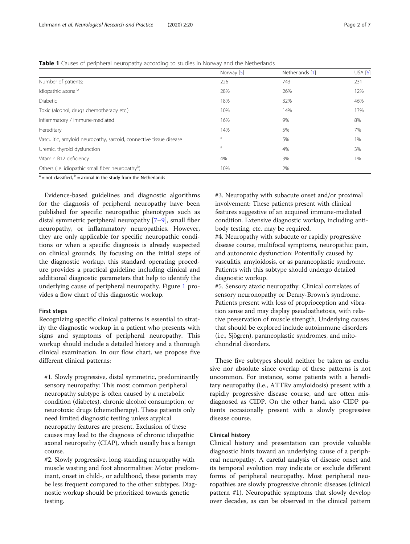#### <span id="page-1-0"></span>Table 1 Causes of peripheral neuropathy according to studies in Norway and the Netherlands

|                                                                    | Norway [5] | Netherlands [1] | <b>USA</b> [6] |
|--------------------------------------------------------------------|------------|-----------------|----------------|
| Number of patients:                                                | 226        | 743             | 231            |
| Idiopathic axonal <sup>b</sup>                                     | 28%        | 26%             | 12%            |
| Diabetic                                                           | 18%        | 32%             | 46%            |
| Toxic (alcohol, drugs chemotherapy etc.)                           | 10%        | 14%             | 13%            |
| Inflammatory / Immune-mediated                                     | 16%        | 9%              | 8%             |
| Hereditary                                                         | 14%        | 5%              | 7%             |
| Vasculitic, amyloid neuropathy, sarcoid, connective tissue disease | a          | 5%              | 1%             |
| Uremic, thyroid dysfunction                                        | a          | 4%              | 3%             |
| Vitamin B12 deficiency                                             | 4%         | 3%              | 1%             |
| Others (i.e. idiopathic small fiber neuropathy <sup>b</sup> )      | 10%        | 2%              |                |

 $a =$  not classified,  $b =$  axonal in the study from the Netherlands

Evidence-based guidelines and diagnostic algorithms for the diagnosis of peripheral neuropathy have been published for specific neuropathic phenotypes such as distal symmetric peripheral neuropathy [[7](#page-6-0)–[9](#page-6-0)], small fiber neuropathy, or inflammatory neuropathies. However, they are only applicable for specific neuropathic conditions or when a specific diagnosis is already suspected on clinical grounds. By focusing on the initial steps of the diagnostic workup, this standard operating procedure provides a practical guideline including clinical and additional diagnostic parameters that help to identify the underlying cause of peripheral neuropathy. Figure [1](#page-2-0) provides a flow chart of this diagnostic workup.

#### First steps

Recognizing specific clinical patterns is essential to stratify the diagnostic workup in a patient who presents with signs and symptoms of peripheral neuropathy. This workup should include a detailed history and a thorough clinical examination. In our flow chart, we propose five different clinical patterns:

#1. Slowly progressive, distal symmetric, predominantly sensory neuropathy: This most common peripheral neuropathy subtype is often caused by a metabolic condition (diabetes), chronic alcohol consumption, or neurotoxic drugs (chemotherapy). These patients only need limited diagnostic testing unless atypical neuropathy features are present. Exclusion of these causes may lead to the diagnosis of chronic idiopathic axonal neuropathy (CIAP), which usually has a benign course.

#2. Slowly progressive, long-standing neuropathy with muscle wasting and foot abnormalities: Motor predominant, onset in child-, or adulthood, these patients may be less frequent compared to the other subtypes. Diagnostic workup should be prioritized towards genetic testing.

#3. Neuropathy with subacute onset and/or proximal involvement: These patients present with clinical features suggestive of an acquired immune-mediated condition. Extensive diagnostic workup, including antibody testing, etc. may be required.

#4. Neuropathy with subacute or rapidly progressive disease course, multifocal symptoms, neuropathic pain, and autonomic dysfunction: Potentially caused by vasculitis, amyloidosis, or as paraneoplastic syndrome. Patients with this subtype should undergo detailed diagnostic workup.

#5. Sensory ataxic neuropathy: Clinical correlates of sensory neuronopathy or Denny-Brown's syndrome. Patients present with loss of proprioception and vibration sense and may display pseudoathetosis, with relative preservation of muscle strength. Underlying causes that should be explored include autoimmune disorders (i.e., Sjögren), paraneoplastic syndromes, and mitochondrial disorders.

These five subtypes should neither be taken as exclusive nor absolute since overlap of these patterns is not uncommon. For instance, some patients with a hereditary neuropathy (i.e., ATTRv amyloidosis) present with a rapidly progressive disease course, and are often misdiagnosed as CIDP. On the other hand, also CIDP patients occasionally present with a slowly progressive disease course.

#### Clinical history

Clinical history and presentation can provide valuable diagnostic hints toward an underlying cause of a peripheral neuropathy. A careful analysis of disease onset and its temporal evolution may indicate or exclude different forms of peripheral neuropathy. Most peripheral neuropathies are slowly progressive chronic diseases (clinical pattern #1). Neuropathic symptoms that slowly develop over decades, as can be observed in the clinical pattern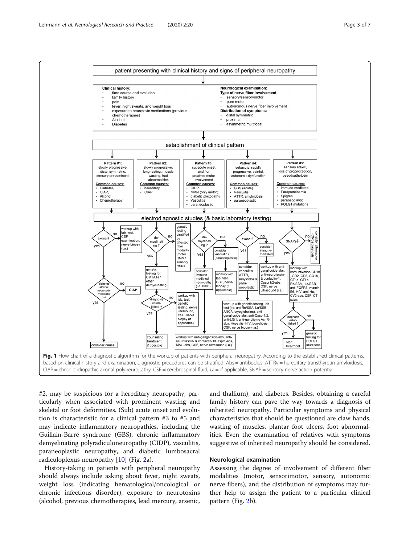<span id="page-2-0"></span>

#2, may be suspicious for a hereditary neuropathy, particularly when associated with prominent wasting and skeletal or foot deformities. (Sub) acute onset and evolution is characteristic for a clinical pattern #3 to #5 and may indicate inflammatory neuropathies, including the Guillain-Barré syndrome (GBS), chronic inflammatory demyelinating polyradiculoneuropathy (CIDP), vasculitis, paraneoplastic neuropathy, and diabetic lumbosacral radiculoplexus neuropathy [\[10](#page-6-0)] (Fig. [2a](#page-3-0)).

History-taking in patients with peripheral neuropathy should always include asking about fever, night sweats, weight loss (indicating hematological/oncological or chronic infectious disorder), exposure to neurotoxins (alcohol, previous chemotherapies, lead mercury, arsenic, and thallium), and diabetes. Besides, obtaining a careful family history can pave the way towards a diagnosis of inherited neuropathy. Particular symptoms and physical characteristics that should be questioned are claw hands, wasting of muscles, plantar foot ulcers, foot abnormalities. Even the examination of relatives with symptoms suggestive of inherited neuropathy should be considered.

#### Neurological examination

Assessing the degree of involvement of different fiber modalities (motor, sensorimotor, sensory, autonomic nerve fibers), and the distribution of symptoms may further help to assign the patient to a particular clinical pattern (Fig. [2b](#page-3-0)).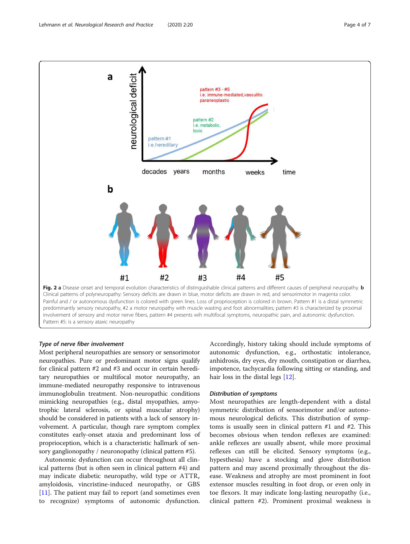<span id="page-3-0"></span>

Type of nerve fiber involvement

Most peripheral neuropathies are sensory or sensorimotor neuropathies. Pure or predominant motor signs qualify for clinical pattern #2 and #3 and occur in certain hereditary neuropathies or multifocal motor neuropathy, an immune-mediated neuropathy responsive to intravenous immunoglobulin treatment. Non-neuropathic conditions mimicking neuropathies (e.g., distal myopathies, amyotrophic lateral sclerosis, or spinal muscular atrophy) should be considered in patients with a lack of sensory involvement. A particular, though rare symptom complex constitutes early-onset ataxia and predominant loss of proprioception, which is a characteristic hallmark of sensory ganglionopathy / neuronopathy (clinical pattern #5).

Autonomic dysfunction can occur throughout all clinical patterns (but is often seen in clinical pattern #4) and may indicate diabetic neuropathy, wild type or  $ATTR<sub>v</sub>$ amyloidosis, vincristine-induced neuropathy, or GBS  $[11]$  $[11]$ . The patient may fail to report (and sometimes even to recognize) symptoms of autonomic dysfunction.

Accordingly, history taking should include symptoms of autonomic dysfunction, e.g., orthostatic intolerance, anhidrosis, dry eyes, dry mouth, constipation or diarrhea, impotence, tachycardia following sitting or standing, and hair loss in the distal legs [[12\]](#page-6-0).

#### Distribution of symptoms

Most neuropathies are length-dependent with a distal symmetric distribution of sensorimotor and/or autonomous neurological deficits. This distribution of symptoms is usually seen in clinical pattern #1 and #2. This becomes obvious when tendon reflexes are examined: ankle reflexes are usually absent, while more proximal reflexes can still be elicited. Sensory symptoms (e.g., hypesthesia) have a stocking and glove distribution pattern and may ascend proximally throughout the disease. Weakness and atrophy are most prominent in foot extensor muscles resulting in foot drop, or even only in toe flexors. It may indicate long-lasting neuropathy (i.e., clinical pattern #2). Prominent proximal weakness is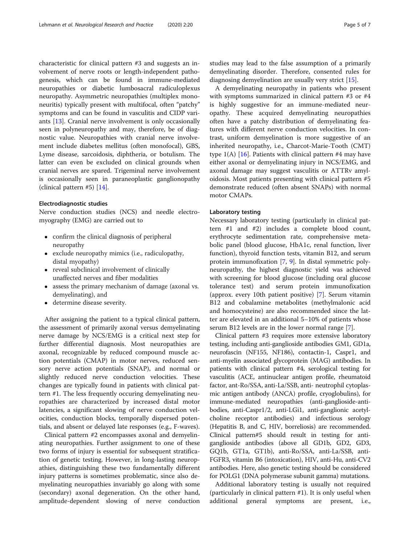characteristic for clinical pattern #3 and suggests an involvement of nerve roots or length-independent pathogenesis, which can be found in immune-mediated neuropathies or diabetic lumbosacral radiculoplexus neuropathy. Asymmetric neuropathies (multiplex mononeuritis) typically present with multifocal, often "patchy" symptoms and can be found in vasculitis and CIDP variants [[13\]](#page-6-0). Cranial nerve involvement is only occasionally seen in polyneuropathy and may, therefore, be of diagnostic value. Neuropathies with cranial nerve involvement include diabetes mellitus (often monofocal), GBS, Lyme disease, sarcoidosis, diphtheria, or botulism. The latter can even be excluded on clinical grounds when cranial nerves are spared. Trigeminal nerve involvement is occasionally seen in paraneoplastic ganglionopathy (clinical pattern #5) [\[14\]](#page-6-0).

#### Electrodiagnostic studies

Nerve conduction studies (NCS) and needle electromyography (EMG) are carried out to

- confirm the clinical diagnosis of peripheral neuropathy
- exclude neuropathy mimics (i.e., radiculopathy, distal myopathy)
- reveal subclinical involvement of clinically unaffected nerves and fiber modalities
- assess the primary mechanism of damage (axonal vs. demyelinating), and
- determine disease severity.

After assigning the patient to a typical clinical pattern, the assessment of primarily axonal versus demyelinating nerve damage by NCS/EMG is a critical next step for further differential diagnosis. Most neuropathies are axonal, recognizable by reduced compound muscle action potentials (CMAP) in motor nerves, reduced sensory nerve action potentials (SNAP), and normal or slightly reduced nerve conduction velocities. These changes are typically found in patients with clinical pattern #1. The less frequently occuring demyelinating neuropathies are characterized by increased distal motor latencies, a significant slowing of nerve conduction velocities, conduction blocks, temporally dispersed potentials, and absent or delayed late responses (e.g., F-waves).

Clinical pattern #2 encompasses axonal and demyelinating neuropathies. Further assignment to one of these two forms of injury is essential for subsequent stratification of genetic testing. However, in long-lasting neuropathies, distinguishing these two fundamentally different injury patterns is sometimes problematic, since also demyelinating neuropathies invariably go along with some (secondary) axonal degeneration. On the other hand, amplitude-dependent slowing of nerve conduction studies may lead to the false assumption of a primarily demyelinating disorder. Therefore, consented rules for diagnosing demyelination are usually very strict [[15\]](#page-6-0).

A demyelinating neuropathy in patients who present with symptoms summarized in clinical pattern #3 or #4 is highly suggestive for an immune-mediated neuropathy. These acquired demyelinating neuropathies often have a patchy distribution of demyelinating features with different nerve conduction velocities. In contrast, uniform demyelination is more suggestive of an inherited neuropathy, i.e., Charcot-Marie-Tooth (CMT) type  $1(A)$  [\[16\]](#page-6-0). Patients with clinical pattern #4 may have either axonal or demyelinating injury in NCS/EMG, and axonal damage may suggest vasculitis or ATTRv amyloidosis. Most patients presenting with clinical pattern #5 demonstrate reduced (often absent SNAPs) with normal motor CMAPs.

#### Laboratory testing

Necessary laboratory testing (particularly in clinical pattern #1 and #2) includes a complete blood count, erythrocyte sedimentation rate, comprehensive metabolic panel (blood glucose, HbA1c, renal function, liver function), thyroid function tests, vitamin B12, and serum protein immunofixation [[7,](#page-6-0) [9](#page-6-0)]. In distal symmetric polyneuropathy, the highest diagnostic yield was achieved with screening for blood glucose (including oral glucose tolerance test) and serum protein immunofixation (approx. every 10th patient positive) [\[7](#page-6-0)]. Serum vitamin B12 and cobalamine metabolites (methylmalonic acid and homocysteine) are also recommended since the latter are elevated in an additional 5–10% of patients whose serum B12 levels are in the lower normal range [\[7](#page-6-0)].

Clinical pattern #3 requires more extensive laboratory testing, including anti-ganglioside antibodies GM1, GD1a, neurofascin (NF155, NF186), contactin-1, Caspr1, and anti-myelin associated glycoprotein (MAG) antibodies. In patients with clinical pattern #4, serological testing for vasculitis (ACE, antinuclear antigen profile, rheumatoid factor, ant-Ro/SSA, anti-La/SSB, anti- neutrophil cytoplasmic antigen antibody (ANCA) profile, cryoglobulins), for immune-mediated neuropathies (anti-ganglioside-antibodies, anti-Caspr1/2, anti-LGi1, anti-ganglionic acetylcholine receptor antibodies) and infectious serology (Hepatitis B, and C, HIV, borreliosis) are recommended. Clinical pattern#5 should result in testing for antiganglioside antibodies (above all GD1b, GD2, GD3, GQ1b, GT1a, GT1b), anti-Ro/SSA, anti-La/SSB, anti-FGFR3, vitamin B6 (intoxication), HIV, anti-Hu, anti-CV2 antibodies. Here, also genetic testing should be considered for POLG1 (DNA polymerase subunit gamma) mutations.

Additional laboratory testing is usually not required (particularly in clinical pattern #1). It is only useful when additional general symptoms are present, i.e.,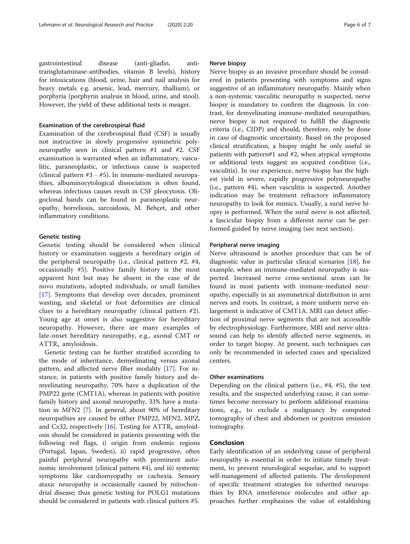gastrointestinal disease (anti-gliadin, antitransglutaminase-antibodies, vitamin B levels), history for intoxications (blood, urine, hair and nail analysis for heavy metals e.g. arsenic, lead, mercury, thallium), or porphyria (porphyrin analysis in blood, urine, and stool). However, the yield of these additional tests is meager.

#### Examination of the cerebrospinal fluid

Examination of the cerebrospinal fluid (CSF) is usually not instructive in slowly progressive symmetric polyneuropathy seen in clinical pattern #1 and #2. CSF examination is warranted when an inflammatory, vasculitic, paraneoplastic, or infectious cause is suspected (clinical pattern #3 - #5). In immune-mediated neuropathies, albuminocytological dissociation is often found, whereas infectious causes result in CSF pleocytosis. Oligoclonal bands can be found in paraneoplastic neuropathy, borreliosis, sarcoidosis, M. Behçet, and other inflammatory conditions.

#### Genetic testing

Genetic testing should be considered when clinical history or examination suggests a hereditary origin of the peripheral neuropathy (i.e., clinical pattern #2, #4, occasionally #5). Positive family history is the most apparent hint but may be absent in the case of de novo mutations, adopted individuals, or small families [[17\]](#page-6-0). Symptoms that develop over decades, prominent wasting, and skeletal or foot deformities are clinical clues to a hereditary neuropathy (clinical pattern #2). Young age at onset is also suggestive for hereditary neuropathy. However, there are many examples of late-onset hereditary neuropathy, e.g., axonal CMT or  $ATTR<sub>v</sub>$  amyloidosis.

Genetic testing can be further stratified according to the mode of inheritance, demyelinating versus axonal pattern, and affected nerve fiber modality [\[17\]](#page-6-0). For instance, in patients with positive family history and demyelinating neuropathy, 70% have a duplication of the PMP22 gene (CMT1A), whereas in patients with positive family history and axonal neuropathy, 33% have a mutation in MFN2 [\[7](#page-6-0)]. In general, about 90% of hereditary neuropathies are caused by either PMP22, MFN2, MPZ, and Cx32, respectively [\[16\]](#page-6-0). Testing for  $\text{ATTR}_v$  amyloidosis should be considered in patients presenting with the following red flags, i) origin from endemic regions (Portugal, Japan, Sweden), ii) rapid progressive, often painful peripheral neuropathy with prominent autonomic involvement (clinical pattern #4), and iii) systemic symptoms like cardiomyopathy or cachexia. Sensory ataxic neuropathy is occasionally caused by mitochondrial disease; thus genetic testing for POLG1 mutations should be considered in patients with clinical pattern #5.

#### Nerve biopsy

Nerve biopsy as an invasive procedure should be considered in patients presenting with symptoms and signs suggestive of an inflammatory neuropathy. Mainly when a non-systemic vasculitic neuropathy is suspected, nerve biopsy is mandatory to confirm the diagnosis. In contrast, for demyelinating immune-mediated neuropathies, nerve biopsy is not required to fulfill the diagnostic criteria (i.e., CIDP) and should, therefore, only be done in case of diagnostic uncertainty. Based on the proposed clinical stratification, a biopsy might be only useful in patients with pattern#1 and #2, when atypical symptoms or additional tests suggest an acquired condition (i.e., vasculitis). In our experience, nerve biopsy has the highest yield in severe, rapidly progressive polyneuropathy (i.e., pattern #4), when vasculitis is suspected. Another indication may be treatment refractory inflammatory neuropathy to look for mimics. Usually, a sural nerve biopsy is performed. When the sural nerve is not affected, a fascicular biopsy from a different nerve can be performed guided by nerve imaging (see next section).

#### Peripheral nerve imaging

Nerve ultrasound is another procedure that can be of diagnostic value in particular clinical scenarios [[18\]](#page-6-0), for example, when an immune-mediated neuropathy is suspected. Increased nerve cross-sectional areas can be found in most patients with immune-mediated neuropathy, especially in an asymmetrical distribution in arm nerves and roots. In contrast, a more uniform nerve enlargement is indicative of CMT1A. MRI can detect affection of proximal nerve segments that are not accessible by electrophysiology. Furthermore, MRI and nerve ultrasound can help to identify affected nerve segments, in order to target biopsy. At present, such techniques can only be recommended in selected cases and specialized centers.

#### Other examinations

Depending on the clinical pattern (i.e., #4, #5), the test results, and the suspected underlying cause, it can sometimes become necessary to perform additional examinations, e.g., to exclude a malignancy by computed tomography of chest and abdomen or positron emission tomography.

#### Conclusion

Early identification of an underlying cause of peripheral neuropathy is essential in order to initiate timely treatment, to prevent neurological sequelae, and to support self-management of affected patients. The development of specific treatment strategies for inherited neuropathies by RNA interference molecules and other approaches further emphasizes the value of establishing